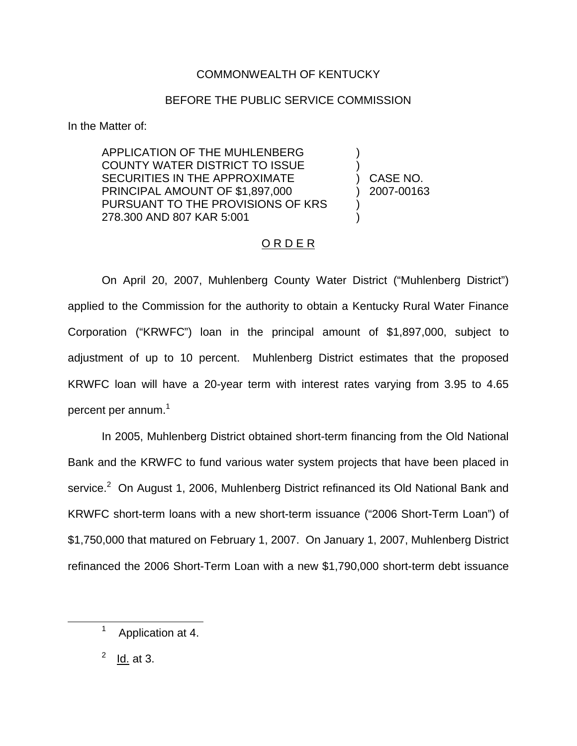## COMMONWEALTH OF KENTUCKY

## BEFORE THE PUBLIC SERVICE COMMISSION

In the Matter of:

APPLICATION OF THE MUHLENBERG COUNTY WATER DISTRICT TO ISSUE SECURITIES IN THE APPROXIMATE PRINCIPAL AMOUNT OF \$1,897,000 PURSUANT TO THE PROVISIONS OF KRS 278.300 AND 807 KAR 5:001

) ) CASE NO. ) 2007-00163

)

) )

## ORDER

On April 20, 2007, Muhlenberg County Water District ("Muhlenberg District") applied to the Commission for the authority to obtain a Kentucky Rural Water Finance Corporation ("KRWFC") loan in the principal amount of \$1,897,000, subject to adjustment of up to 10 percent. Muhlenberg District estimates that the proposed KRWFC loan will have a 20-year term with interest rates varying from 3.95 to 4.65 percent per annum.<sup>1</sup>

In 2005, Muhlenberg District obtained short-term financing from the Old National Bank and the KRWFC to fund various water system projects that have been placed in service.<sup>2</sup> On August 1, 2006, Muhlenberg District refinanced its Old National Bank and KRWFC short-term loans with a new short-term issuance ("2006 Short-Term Loan") of \$1,750,000 that matured on February 1, 2007. On January 1, 2007, Muhlenberg District refinanced the 2006 Short-Term Loan with a new \$1,790,000 short-term debt issuance

 $2$  Id. at 3.

<sup>&</sup>lt;sup>1</sup> Application at 4.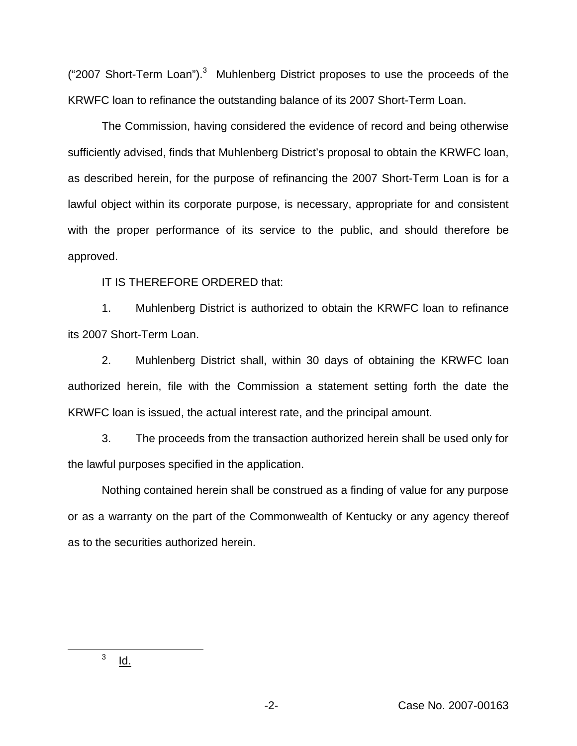("2007 Short-Term Loan").<sup>3</sup> Muhlenberg District proposes to use the proceeds of the KRWFC loan to refinance the outstanding balance of its 2007 Short-Term Loan.

The Commission, having considered the evidence of record and being otherwise sufficiently advised, finds that Muhlenberg District's proposal to obtain the KRWFC loan, as described herein, for the purpose of refinancing the 2007 Short-Term Loan is for a lawful object within its corporate purpose, is necessary, appropriate for and consistent with the proper performance of its service to the public, and should therefore be approved.

IT IS THEREFORE ORDERED that:

1. Muhlenberg District is authorized to obtain the KRWFC loan to refinance its 2007 Short-Term Loan.

2. Muhlenberg District shall, within 30 days of obtaining the KRWFC loan authorized herein, file with the Commission a statement setting forth the date the KRWFC loan is issued, the actual interest rate, and the principal amount.

3. The proceeds from the transaction authorized herein shall be used only for the lawful purposes specified in the application.

Nothing contained herein shall be construed as a finding of value for any purpose or as a warranty on the part of the Commonwealth of Kentucky or any agency thereof as to the securities authorized herein.

 $3$  Id.